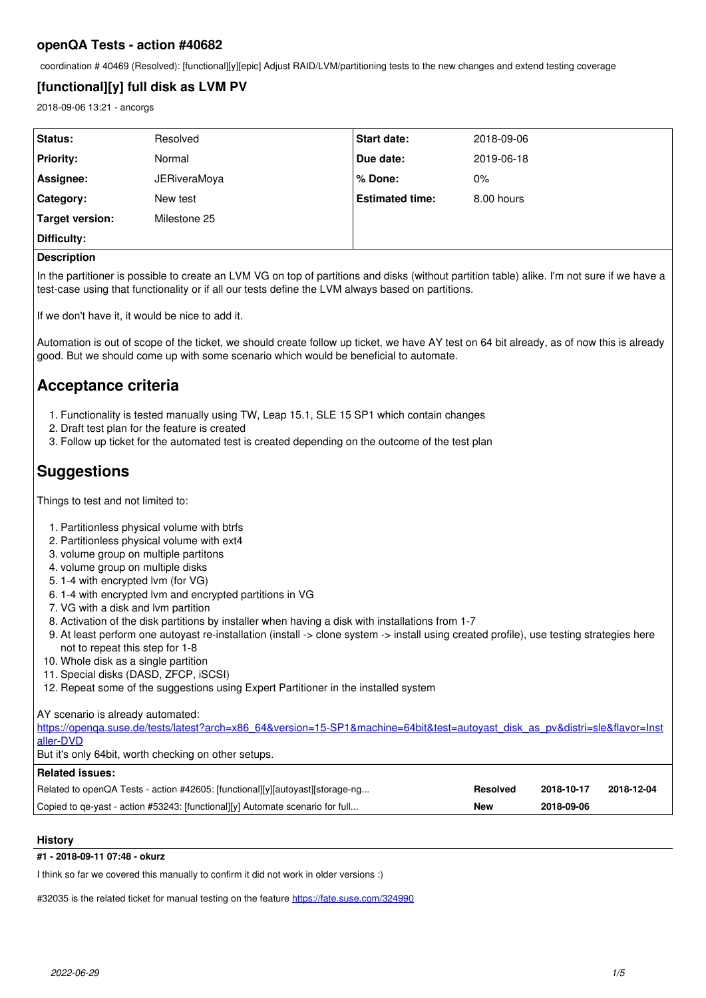# **openQA Tests - action #40682**

coordination # 40469 (Resolved): [functional][y][epic] Adjust RAID/LVM/partitioning tests to the new changes and extend testing coverage

# **[functional][y] full disk as LVM PV**

2018-09-06 13:21 - ancorgs

| Status:          | Resolved            | <b>Start date:</b>     | 2018-09-06 |
|------------------|---------------------|------------------------|------------|
| <b>Priority:</b> | Normal              | Due date:              | 2019-06-18 |
| Assignee:        | <b>JERiveraMoya</b> | ∣% Done:               | $0\%$      |
| Category:        | New test            | <b>Estimated time:</b> | 8.00 hours |
| Target version:  | Milestone 25        |                        |            |
| Difficulty:      |                     |                        |            |

## **Description**

In the partitioner is possible to create an LVM VG on top of partitions and disks (without partition table) alike. I'm not sure if we have a test-case using that functionality or if all our tests define the LVM always based on partitions.

If we don't have it, it would be nice to add it.

Automation is out of scope of the ticket, we should create follow up ticket, we have AY test on 64 bit already, as of now this is already good. But we should come up with some scenario which would be beneficial to automate.

# **Acceptance criteria**

- 1. Functionality is tested manually using TW, Leap 15.1, SLE 15 SP1 which contain changes
- 2. Draft test plan for the feature is created
- 3. Follow up ticket for the automated test is created depending on the outcome of the test plan

# **Suggestions**

Things to test and not limited to:

- 1. Partitionless physical volume with btrfs
- 2. Partitionless physical volume with ext4
- 3. volume group on multiple partitons
- 4. volume group on multiple disks
- 5. 1-4 with encrypted lvm (for VG)
- 6. 1-4 with encrypted lvm and encrypted partitions in VG
- 7. VG with a disk and lvm partition
- 8. Activation of the disk partitions by installer when having a disk with installations from 1-7
- 9. At least perform one autoyast re-installation (install -> clone system -> install using created profile), use testing strategies here not to repeat this step for 1-8
- 10. Whole disk as a single partition
- 11. Special disks (DASD, ZFCP, iSCSI)
- 12. Repeat some of the suggestions using Expert Partitioner in the installed system

# AY scenario is already automated:

| https://openga.suse.de/tests/latest?arch=x86_64&version=15-SP1&machine=64bit&test=autovast_disk_as_pv&distri=sle&flavor=Inst |          |            |            |  |  |  |
|------------------------------------------------------------------------------------------------------------------------------|----------|------------|------------|--|--|--|
| aller-DVD                                                                                                                    |          |            |            |  |  |  |
| But it's only 64bit, worth checking on other setups.                                                                         |          |            |            |  |  |  |
| <b>Related issues:</b>                                                                                                       |          |            |            |  |  |  |
| Related to openQA Tests - action #42605: [functional][y][autoyast][storage-ng                                                | Resolved | 2018-10-17 | 2018-12-04 |  |  |  |
| Copied to ge-yast - action #53243: [functional][y] Automate scenario for full                                                | New      | 2018-09-06 |            |  |  |  |

### **History**

# **#1 - 2018-09-11 07:48 - okurz**

I think so far we covered this manually to confirm it did not work in older versions :)

#32035 is the related ticket for manual testing on the feature<https://fate.suse.com/324990>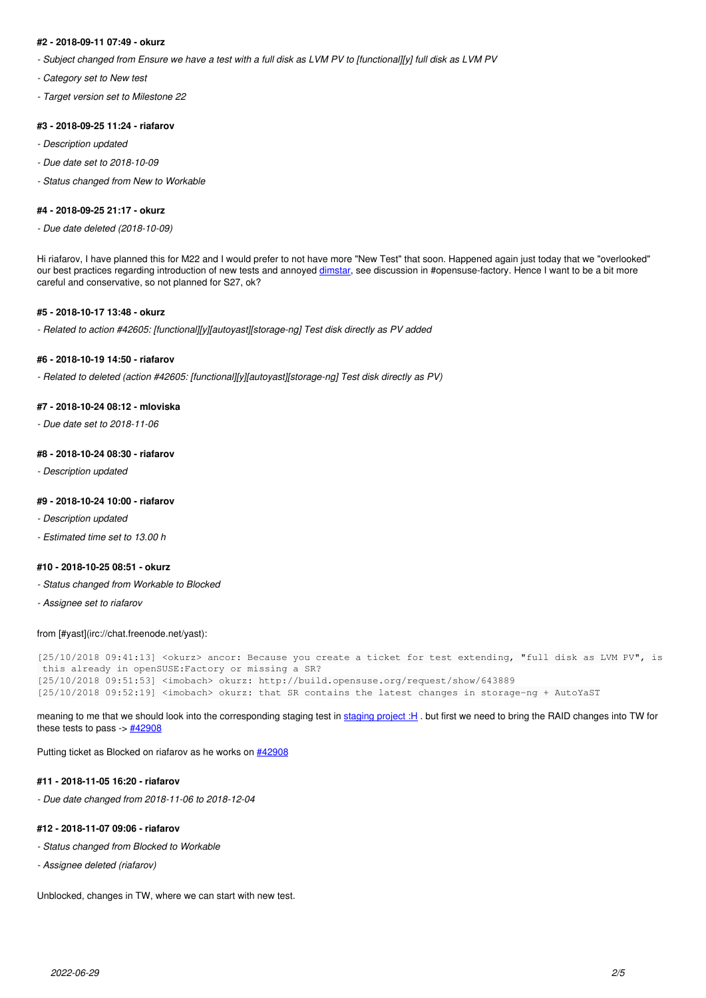#### **#2 - 2018-09-11 07:49 - okurz**

- *Subject changed from Ensure we have a test with a full disk as LVM PV to [functional][y] full disk as LVM PV*
- *Category set to New test*
- *Target version set to Milestone 22*

#### **#3 - 2018-09-25 11:24 - riafarov**

- *Description updated*
- *Due date set to 2018-10-09*
- *Status changed from New to Workable*

#### **#4 - 2018-09-25 21:17 - okurz**

*- Due date deleted (2018-10-09)*

Hi riafarov, I have planned this for M22 and I would prefer to not have more "New Test" that soon. Happened again just today that we "overlooked" our best practices regarding introduction of new tests and annoyed [dimstar,](progress.opensuse.org/users/609) see discussion in #opensuse-factory. Hence I want to be a bit more careful and conservative, so not planned for S27, ok?

#### **#5 - 2018-10-17 13:48 - okurz**

*- Related to action #42605: [functional][y][autoyast][storage-ng] Test disk directly as PV added*

#### **#6 - 2018-10-19 14:50 - riafarov**

*- Related to deleted (action #42605: [functional][y][autoyast][storage-ng] Test disk directly as PV)*

#### **#7 - 2018-10-24 08:12 - mloviska**

*- Due date set to 2018-11-06*

#### **#8 - 2018-10-24 08:30 - riafarov**

*- Description updated*

#### **#9 - 2018-10-24 10:00 - riafarov**

- *Description updated*
- *Estimated time set to 13.00 h*

## **#10 - 2018-10-25 08:51 - okurz**

- *Status changed from Workable to Blocked*
- *Assignee set to riafarov*

#### from [#yast](irc://chat.freenode.net/yast):

[25/10/2018 09:41:13] <okurz> ancor: Because you create a ticket for test extending, "full disk as LVM PV", is this already in openSUSE:Factory or missing a SR? [25/10/2018 09:51:53] <imobach> okurz: http://build.opensuse.org/request/show/643889 [25/10/2018 09:52:19] <imobach> okurz: that SR contains the latest changes in storage-ng + AutoYaST

meaning to me that we should look into the corresponding staging test in [staging project :H](https://build.opensuse.org/project/show/openSUSE:Factory:Staging:H) . but first we need to bring the RAID changes into TW for these tests to pass  $\frac{+42908}{+}$ 

Putting ticket as Blocked on riafarov as he works on [#42908](https://progress.opensuse.org/issues/42908)

#### **#11 - 2018-11-05 16:20 - riafarov**

*- Due date changed from 2018-11-06 to 2018-12-04*

#### **#12 - 2018-11-07 09:06 - riafarov**

- *Status changed from Blocked to Workable*
- *Assignee deleted (riafarov)*

Unblocked, changes in TW, where we can start with new test.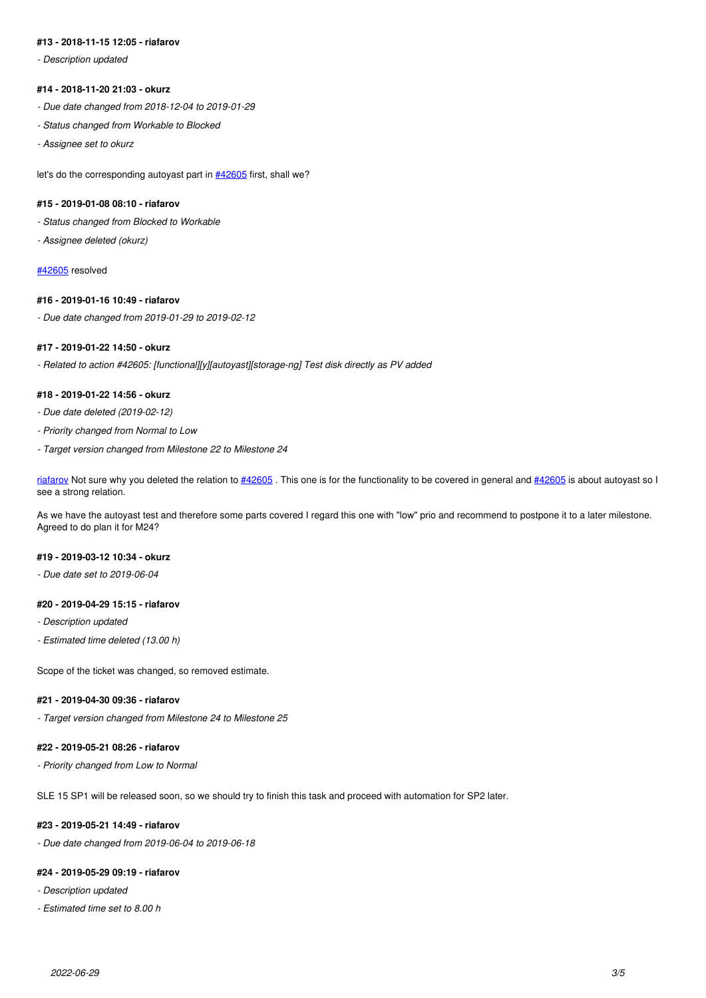#### **#13 - 2018-11-15 12:05 - riafarov**

*- Description updated*

#### **#14 - 2018-11-20 21:03 - okurz**

- *Due date changed from 2018-12-04 to 2019-01-29*
- *Status changed from Workable to Blocked*
- *Assignee set to okurz*

let's do the corresponding autoyast part in  $\frac{\#42605}{}$  $\frac{\#42605}{}$  $\frac{\#42605}{}$  first, shall we?

# **#15 - 2019-01-08 08:10 - riafarov**

- *Status changed from Blocked to Workable*
- *Assignee deleted (okurz)*

#### [#42605](https://progress.opensuse.org/issues/42605) resolved

#### **#16 - 2019-01-16 10:49 - riafarov**

*- Due date changed from 2019-01-29 to 2019-02-12*

#### **#17 - 2019-01-22 14:50 - okurz**

*- Related to action #42605: [functional][y][autoyast][storage-ng] Test disk directly as PV added*

#### **#18 - 2019-01-22 14:56 - okurz**

- *Due date deleted (2019-02-12)*
- *Priority changed from Normal to Low*
- *Target version changed from Milestone 22 to Milestone 24*

[riafarov](progress.opensuse.org/users/25024) Not sure why you deleted the relation to #42605. This one is for the functionality to be covered in general and [#42605](https://progress.opensuse.org/issues/42605) is about autoyast so I see a strong relation.

As we have the autoyast test and therefore some parts covered I regard this one with "low" prio and recommend to postpone it to a later milestone. Agreed to do plan it for M24?

## **#19 - 2019-03-12 10:34 - okurz**

*- Due date set to 2019-06-04*

#### **#20 - 2019-04-29 15:15 - riafarov**

- *Description updated*
- *Estimated time deleted (13.00 h)*

Scope of the ticket was changed, so removed estimate.

#### **#21 - 2019-04-30 09:36 - riafarov**

*- Target version changed from Milestone 24 to Milestone 25*

## **#22 - 2019-05-21 08:26 - riafarov**

*- Priority changed from Low to Normal*

SLE 15 SP1 will be released soon, so we should try to finish this task and proceed with automation for SP2 later.

#### **#23 - 2019-05-21 14:49 - riafarov**

*- Due date changed from 2019-06-04 to 2019-06-18*

#### **#24 - 2019-05-29 09:19 - riafarov**

*- Description updated*

*- Estimated time set to 8.00 h*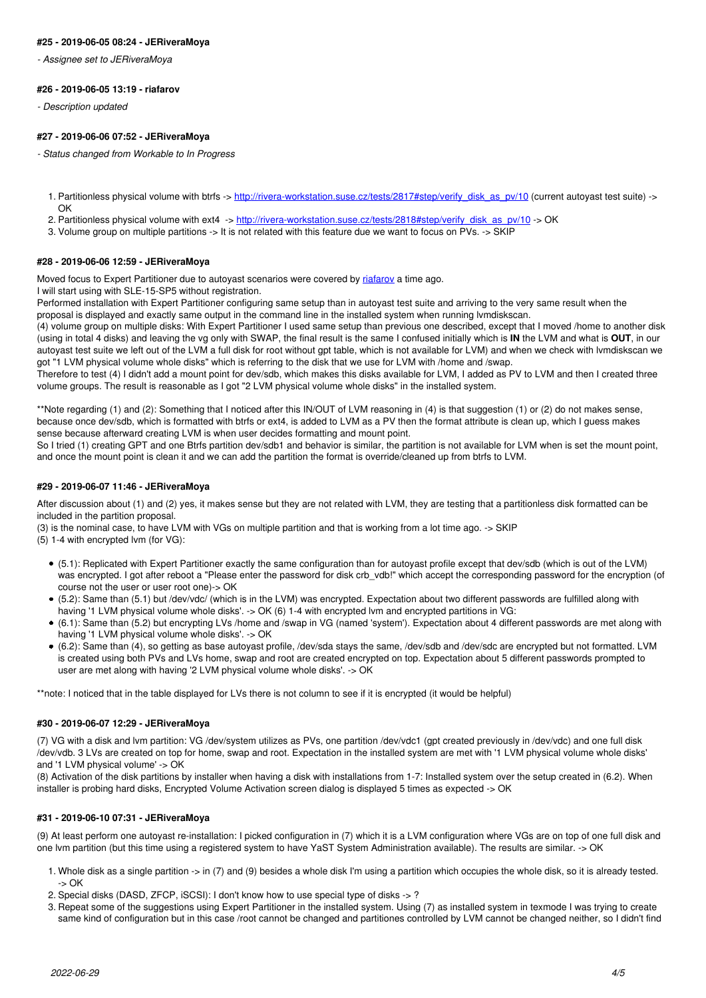#### **#25 - 2019-06-05 08:24 - JERiveraMoya**

*- Assignee set to JERiveraMoya*

#### **#26 - 2019-06-05 13:19 - riafarov**

*- Description updated*

#### **#27 - 2019-06-06 07:52 - JERiveraMoya**

*- Status changed from Workable to In Progress*

- 1. Partitionless physical volume with btrfs -> [http://rivera-workstation.suse.cz/tests/2817#step/verify\\_disk\\_as\\_pv/10](http://rivera-workstation.suse.cz/tests/2817#step/verify_disk_as_pv/10) (current autoyast test suite) -> OK
- 2. Partitionless physical volume with ext4 -> [http://rivera-workstation.suse.cz/tests/2818#step/verify\\_disk\\_as\\_pv/10](http://rivera-workstation.suse.cz/tests/2818#step/verify_disk_as_pv/10) -> OK
- 3. Volume group on multiple partitions -> It is not related with this feature due we want to focus on PVs. -> SKIP

#### **#28 - 2019-06-06 12:59 - JERiveraMoya**

Moved focus to Expert Partitioner due to autoyast scenarios were covered by [riafarov](progress.opensuse.org/users/25024) a time ago.

I will start using with SLE-15-SP5 without registration.

Performed installation with Expert Partitioner configuring same setup than in autoyast test suite and arriving to the very same result when the proposal is displayed and exactly same output in the command line in the installed system when running lvmdiskscan.

(4) volume group on multiple disks: With Expert Partitioner I used same setup than previous one described, except that I moved /home to another disk (using in total 4 disks) and leaving the vg only with SWAP, the final result is the same I confused initially which is **IN** the LVM and what is **OUT**, in our autoyast test suite we left out of the LVM a full disk for root without gpt table, which is not available for LVM) and when we check with lvmdiskscan we got "1 LVM physical volume whole disks" which is referring to the disk that we use for LVM with /home and /swap.

Therefore to test (4) I didn't add a mount point for dev/sdb, which makes this disks available for LVM, I added as PV to LVM and then I created three volume groups. The result is reasonable as I got "2 LVM physical volume whole disks" in the installed system.

\*\*Note regarding (1) and (2): Something that I noticed after this IN/OUT of LVM reasoning in (4) is that suggestion (1) or (2) do not makes sense, because once dev/sdb, which is formatted with btrfs or ext4, is added to LVM as a PV then the format attribute is clean up, which I guess makes sense because afterward creating LVM is when user decides formatting and mount point.

So I tried (1) creating GPT and one Btrfs partition dev/sdb1 and behavior is similar, the partition is not available for LVM when is set the mount point, and once the mount point is clean it and we can add the partition the format is override/cleaned up from btrfs to LVM.

#### **#29 - 2019-06-07 11:46 - JERiveraMoya**

After discussion about (1) and (2) yes, it makes sense but they are not related with LVM, they are testing that a partitionless disk formatted can be included in the partition proposal.

(3) is the nominal case, to have LVM with VGs on multiple partition and that is working from a lot time ago. -> SKIP

(5) 1-4 with encrypted lvm (for VG):

- (5.1): Replicated with Expert Partitioner exactly the same configuration than for autoyast profile except that dev/sdb (which is out of the LVM) was encrypted. I got after reboot a "Please enter the password for disk crb\_vdb!" which accept the corresponding password for the encryption (of course not the user or user root one)-> OK
- (5.2): Same than (5.1) but /dev/vdc/ (which is in the LVM) was encrypted. Expectation about two different passwords are fulfilled along with having '1 LVM physical volume whole disks'. -> OK (6) 1-4 with encrypted lvm and encrypted partitions in VG:
- (6.1): Same than (5.2) but encrypting LVs /home and /swap in VG (named 'system'). Expectation about 4 different passwords are met along with having '1 LVM physical volume whole disks'. -> OK
- (6.2): Same than (4), so getting as base autoyast profile, /dev/sda stays the same, /dev/sdb and /dev/sdc are encrypted but not formatted. LVM is created using both PVs and LVs home, swap and root are created encrypted on top. Expectation about 5 different passwords prompted to user are met along with having '2 LVM physical volume whole disks'. -> OK

\*\*note: I noticed that in the table displayed for LVs there is not column to see if it is encrypted (it would be helpful)

#### **#30 - 2019-06-07 12:29 - JERiveraMoya**

(7) VG with a disk and lvm partition: VG /dev/system utilizes as PVs, one partition /dev/vdc1 (gpt created previously in /dev/vdc) and one full disk /dev/vdb. 3 LVs are created on top for home, swap and root. Expectation in the installed system are met with '1 LVM physical volume whole disks' and '1 LVM physical volume' -> OK

(8) Activation of the disk partitions by installer when having a disk with installations from 1-7: Installed system over the setup created in (6.2). When installer is probing hard disks, Encrypted Volume Activation screen dialog is displayed 5 times as expected -> OK

#### **#31 - 2019-06-10 07:31 - JERiveraMoya**

(9) At least perform one autoyast re-installation: I picked configuration in (7) which it is a LVM configuration where VGs are on top of one full disk and one lvm partition (but this time using a registered system to have YaST System Administration available). The results are similar. -> OK

- 1. Whole disk as a single partition -> in (7) and (9) besides a whole disk I'm using a partition which occupies the whole disk, so it is already tested. -> OK
- 2. Special disks (DASD, ZFCP, iSCSI): I don't know how to use special type of disks -> ?
- 3. Repeat some of the suggestions using Expert Partitioner in the installed system. Using (7) as installed system in texmode I was trying to create same kind of configuration but in this case /root cannot be changed and partitiones controlled by LVM cannot be changed neither, so I didn't find